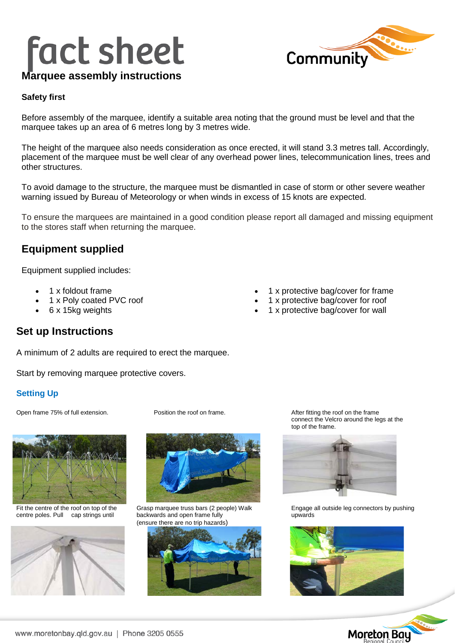# **fact sheet**



# **Marquee assembly instructions**

#### **Safety first**

Before assembly of the marquee, identify a suitable area noting that the ground must be level and that the marquee takes up an area of 6 metres long by 3 metres wide.

The height of the marquee also needs consideration as once erected, it will stand 3.3 metres tall. Accordingly, placement of the marquee must be well clear of any overhead power lines, telecommunication lines, trees and other structures.

To avoid damage to the structure, the marquee must be dismantled in case of storm or other severe weather warning issued by Bureau of Meteorology or when winds in excess of 15 knots are expected.

To ensure the marquees are maintained in a good condition please report all damaged and missing equipment to the stores staff when returning the marquee.

## **Equipment supplied**

Equipment supplied includes:

- 1 x foldout frame
- 1 x Poly coated PVC roof
- 6 x 15kg weights
- 1 x protective bag/cover for frame
- 1 x protective bag/cover for roof
- 1 x protective bag/cover for wall

# **Set up Instructions**

A minimum of 2 adults are required to erect the marquee.

Start by removing marquee protective covers.

### **Setting Up**

Open frame 75% of full extension. Position the roof on frame. After fitting the roof on the frame



centre poles. Pull cap strings until





(ensure there are no trip hazards)



connect the Velcro around the legs at the top of the frame.



Fit the centre of the roof on top of the Grasp marquee truss bars (2 people) Walk Engage all outside leg connectors by pushing<br>
centre poles. Pull cap strings until backwards and open frame fully upwards university of the



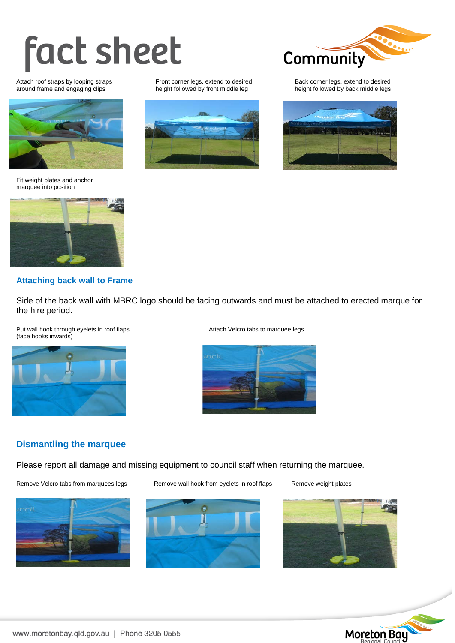# **fact sheet**

Attach roof straps by looping straps Front corner legs, extend to desired Back corner legs, extend to desired<br>Attach roof straps by looping clips beight followed by front middle leg



Fit weight plates and anchor marquee into position



### **Attaching back wall to Frame**

Side of the back wall with MBRC logo should be facing outwards and must be attached to erected marque for the hire period.

Put wall hook through eyelets in roof flaps Attach Velcro tabs to marquee legs (face hooks inwards)





### **Dismantling the marquee**

Please report all damage and missing equipment to council staff when returning the marquee.

Remove Velcro tabs from marquees legs Remove wall hook from eyelets in roof flaps Remove weight plates











height followed by back middle legs